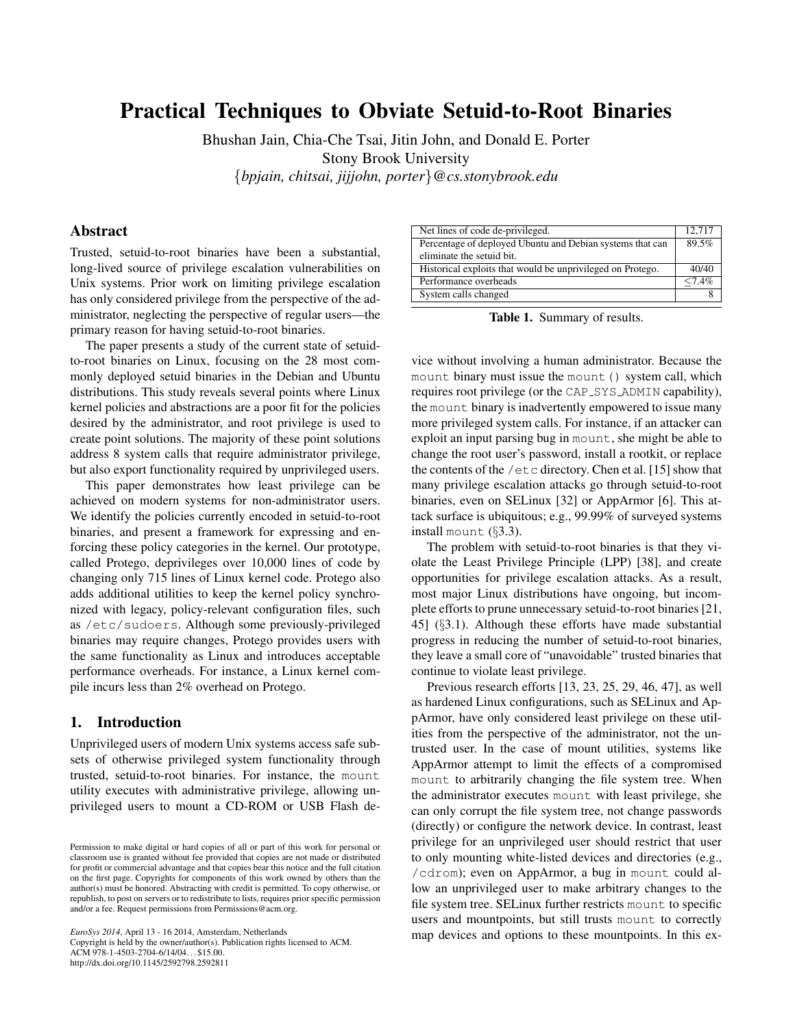# Practical Techniques to Obviate Setuid-to-Root Binaries

Bhushan Jain, Chia-Che Tsai, Jitin John, and Donald E. Porter Stony Brook University {*bpjain, chitsai, jijjohn, porter*}*@cs.stonybrook.edu*

# Abstract

Trusted, setuid-to-root binaries have been a substantial, long-lived source of privilege escalation vulnerabilities on Unix systems. Prior work on limiting privilege escalation has only considered privilege from the perspective of the administrator, neglecting the perspective of regular users—the primary reason for having setuid-to-root binaries.

The paper presents a study of the current state of setuidto-root binaries on Linux, focusing on the 28 most commonly deployed setuid binaries in the Debian and Ubuntu distributions. This study reveals several points where Linux kernel policies and abstractions are a poor fit for the policies desired by the administrator, and root privilege is used to create point solutions. The majority of these point solutions address 8 system calls that require administrator privilege, but also export functionality required by unprivileged users.

This paper demonstrates how least privilege can be achieved on modern systems for non-administrator users. We identify the policies currently encoded in setuid-to-root binaries, and present a framework for expressing and enforcing these policy categories in the kernel. Our prototype, called Protego, deprivileges over 10,000 lines of code by changing only 715 lines of Linux kernel code. Protego also adds additional utilities to keep the kernel policy synchronized with legacy, policy-relevant configuration files, such as /etc/sudoers. Although some previously-privileged binaries may require changes, Protego provides users with the same functionality as Linux and introduces acceptable performance overheads. For instance, a Linux kernel compile incurs less than 2% overhead on Protego.

#### 1. Introduction

Unprivileged users of modern Unix systems access safe subsets of otherwise privileged system functionality through trusted, setuid-to-root binaries. For instance, the mount utility executes with administrative privilege, allowing unprivileged users to mount a CD-ROM or USB Flash de-

*EuroSys 2014*, April 13 - 16 2014, Amsterdam, Netherlands

Copyright is held by the owner/author(s). Publication rights licensed to ACM. ACM 978-1-4503-2704-6/14/04. . . \$15.00. http://dx.doi.org/10.1145/2592798.2592811

| Net lines of code de-privileged.                           | 12.717  |
|------------------------------------------------------------|---------|
| Percentage of deployed Ubuntu and Debian systems that can  | 89.5%   |
| eliminate the setuid bit.                                  |         |
| Historical exploits that would be unprivileged on Protego. | 40/40   |
| Performance overheads                                      | $<$ 74% |
| System calls changed                                       |         |
|                                                            |         |

Table 1. Summary of results.

vice without involving a human administrator. Because the mount binary must issue the mount () system call, which requires root privilege (or the CAP\_SYS\_ADMIN capability), the mount binary is inadvertently empowered to issue many more privileged system calls. For instance, if an attacker can exploit an input parsing bug in mount, she might be able to change the root user's password, install a rootkit, or replace the contents of the  $/$ et c directory. Chen et al. [15] show that many privilege escalation attacks go through setuid-to-root binaries, even on SELinux [32] or AppArmor [6]. This attack surface is ubiquitous; e.g., 99.99% of surveyed systems install mount (§3.3).

The problem with setuid-to-root binaries is that they violate the Least Privilege Principle (LPP) [38], and create opportunities for privilege escalation attacks. As a result, most major Linux distributions have ongoing, but incomplete efforts to prune unnecessary setuid-to-root binaries [21, 45] (§3.1). Although these efforts have made substantial progress in reducing the number of setuid-to-root binaries, they leave a small core of "unavoidable" trusted binaries that continue to violate least privilege.

Previous research efforts [13, 23, 25, 29, 46, 47], as well as hardened Linux configurations, such as SELinux and AppArmor, have only considered least privilege on these utilities from the perspective of the administrator, not the untrusted user. In the case of mount utilities, systems like AppArmor attempt to limit the effects of a compromised mount to arbitrarily changing the file system tree. When the administrator executes mount with least privilege, she can only corrupt the file system tree, not change passwords (directly) or configure the network device. In contrast, least privilege for an unprivileged user should restrict that user to only mounting white-listed devices and directories (e.g., /cdrom); even on AppArmor, a bug in mount could allow an unprivileged user to make arbitrary changes to the file system tree. SELinux further restricts mount to specific users and mountpoints, but still trusts mount to correctly map devices and options to these mountpoints. In this ex-

Permission to make digital or hard copies of all or part of this work for personal or classroom use is granted without fee provided that copies are not made or distributed for profit or commercial advantage and that copies bear this notice and the full citation on the first page. Copyrights for components of this work owned by others than the author(s) must be honored. Abstracting with credit is permitted. To copy otherwise, or republish, to post on servers or to redistribute to lists, requires prior specific permission and/or a fee. Request permissions from Permissions@acm.org.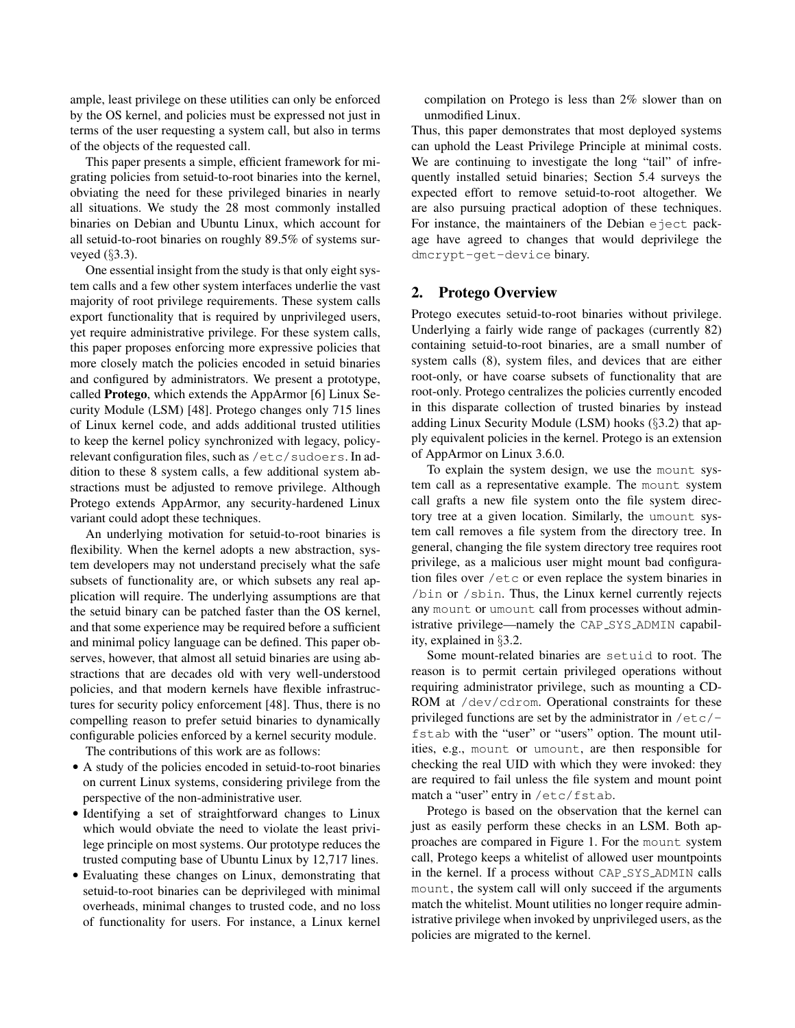ample, least privilege on these utilities can only be enforced by the OS kernel, and policies must be expressed not just in terms of the user requesting a system call, but also in terms of the objects of the requested call.

This paper presents a simple, efficient framework for migrating policies from setuid-to-root binaries into the kernel, obviating the need for these privileged binaries in nearly all situations. We study the 28 most commonly installed binaries on Debian and Ubuntu Linux, which account for all setuid-to-root binaries on roughly 89.5% of systems surveyed (§3.3).

One essential insight from the study is that only eight system calls and a few other system interfaces underlie the vast majority of root privilege requirements. These system calls export functionality that is required by unprivileged users, yet require administrative privilege. For these system calls, this paper proposes enforcing more expressive policies that more closely match the policies encoded in setuid binaries and configured by administrators. We present a prototype, called Protego, which extends the AppArmor [6] Linux Security Module (LSM) [48]. Protego changes only 715 lines of Linux kernel code, and adds additional trusted utilities to keep the kernel policy synchronized with legacy, policyrelevant configuration files, such as /etc/sudoers. In addition to these 8 system calls, a few additional system abstractions must be adjusted to remove privilege. Although Protego extends AppArmor, any security-hardened Linux variant could adopt these techniques.

An underlying motivation for setuid-to-root binaries is flexibility. When the kernel adopts a new abstraction, system developers may not understand precisely what the safe subsets of functionality are, or which subsets any real application will require. The underlying assumptions are that the setuid binary can be patched faster than the OS kernel, and that some experience may be required before a sufficient and minimal policy language can be defined. This paper observes, however, that almost all setuid binaries are using abstractions that are decades old with very well-understood policies, and that modern kernels have flexible infrastructures for security policy enforcement [48]. Thus, there is no compelling reason to prefer setuid binaries to dynamically configurable policies enforced by a kernel security module.

The contributions of this work are as follows:

- A study of the policies encoded in setuid-to-root binaries on current Linux systems, considering privilege from the perspective of the non-administrative user.
- Identifying a set of straightforward changes to Linux which would obviate the need to violate the least privilege principle on most systems. Our prototype reduces the trusted computing base of Ubuntu Linux by 12,717 lines.
- Evaluating these changes on Linux, demonstrating that setuid-to-root binaries can be deprivileged with minimal overheads, minimal changes to trusted code, and no loss of functionality for users. For instance, a Linux kernel

compilation on Protego is less than 2% slower than on unmodified Linux.

Thus, this paper demonstrates that most deployed systems can uphold the Least Privilege Principle at minimal costs. We are continuing to investigate the long "tail" of infrequently installed setuid binaries; Section 5.4 surveys the expected effort to remove setuid-to-root altogether. We are also pursuing practical adoption of these techniques. For instance, the maintainers of the Debian eject package have agreed to changes that would deprivilege the dmcrypt-get-device binary.

## 2. Protego Overview

Protego executes setuid-to-root binaries without privilege. Underlying a fairly wide range of packages (currently 82) containing setuid-to-root binaries, are a small number of system calls (8), system files, and devices that are either root-only, or have coarse subsets of functionality that are root-only. Protego centralizes the policies currently encoded in this disparate collection of trusted binaries by instead adding Linux Security Module (LSM) hooks (§3.2) that apply equivalent policies in the kernel. Protego is an extension of AppArmor on Linux 3.6.0.

To explain the system design, we use the mount system call as a representative example. The mount system call grafts a new file system onto the file system directory tree at a given location. Similarly, the umount system call removes a file system from the directory tree. In general, changing the file system directory tree requires root privilege, as a malicious user might mount bad configuration files over /etc or even replace the system binaries in /bin or /sbin. Thus, the Linux kernel currently rejects any mount or umount call from processes without administrative privilege—namely the CAP SYS ADMIN capability, explained in §3.2.

Some mount-related binaries are setuid to root. The reason is to permit certain privileged operations without requiring administrator privilege, such as mounting a CD-ROM at /dev/cdrom. Operational constraints for these privileged functions are set by the administrator in  $/etc/$ fstab with the "user" or "users" option. The mount utilities, e.g., mount or umount, are then responsible for checking the real UID with which they were invoked: they are required to fail unless the file system and mount point match a "user" entry in /etc/fstab.

Protego is based on the observation that the kernel can just as easily perform these checks in an LSM. Both approaches are compared in Figure 1. For the mount system call, Protego keeps a whitelist of allowed user mountpoints in the kernel. If a process without CAP\_SYS\_ADMIN calls mount, the system call will only succeed if the arguments match the whitelist. Mount utilities no longer require administrative privilege when invoked by unprivileged users, as the policies are migrated to the kernel.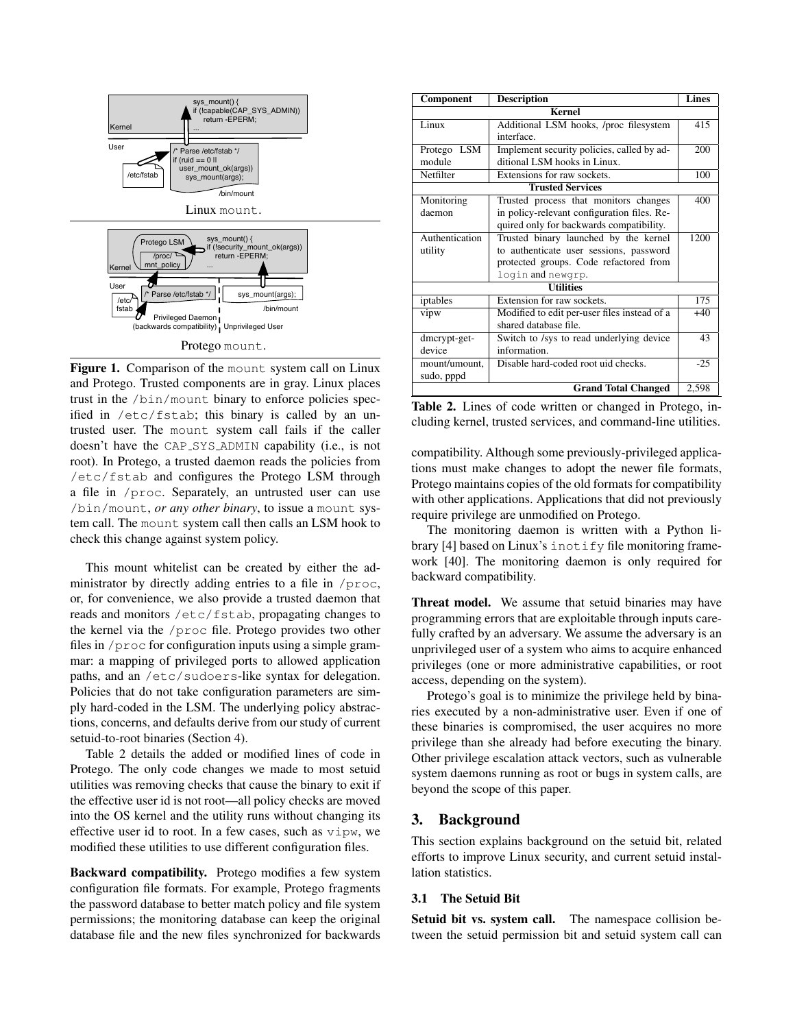

Figure 1. Comparison of the mount system call on Linux and Protego. Trusted components are in gray. Linux places trust in the /bin/mount binary to enforce policies specified in /etc/fstab; this binary is called by an untrusted user. The mount system call fails if the caller doesn't have the CAP SYS ADMIN capability (i.e., is not root). In Protego, a trusted daemon reads the policies from /etc/fstab and configures the Protego LSM through a file in /proc. Separately, an untrusted user can use /bin/mount, *or any other binary*, to issue a mount system call. The mount system call then calls an LSM hook to check this change against system policy.

This mount whitelist can be created by either the administrator by directly adding entries to a file in /proc, or, for convenience, we also provide a trusted daemon that reads and monitors /etc/fstab, propagating changes to the kernel via the /proc file. Protego provides two other files in /proc for configuration inputs using a simple grammar: a mapping of privileged ports to allowed application paths, and an /etc/sudoers-like syntax for delegation. Policies that do not take configuration parameters are simply hard-coded in the LSM. The underlying policy abstractions, concerns, and defaults derive from our study of current setuid-to-root binaries (Section 4).

Table 2 details the added or modified lines of code in Protego. The only code changes we made to most setuid utilities was removing checks that cause the binary to exit if the effective user id is not root—all policy checks are moved into the OS kernel and the utility runs without changing its effective user id to root. In a few cases, such as vipw, we modified these utilities to use different configuration files.

Backward compatibility. Protego modifies a few system configuration file formats. For example, Protego fragments the password database to better match policy and file system permissions; the monitoring database can keep the original database file and the new files synchronized for backwards

| Component                 | <b>Description</b>                                    | <b>Lines</b> |  |  |
|---------------------------|-------------------------------------------------------|--------------|--|--|
| <b>Kernel</b>             |                                                       |              |  |  |
| $\overline{\text{Linux}}$ | Additional LSM hooks, /proc filesystem                | 415          |  |  |
|                           | interface.                                            |              |  |  |
| Protego LSM               | Implement security policies, called by ad-            | 200          |  |  |
| module                    | ditional LSM hooks in Linux.                          |              |  |  |
| Netfilter                 | Extensions for raw sockets.                           | 100          |  |  |
|                           | <b>Trusted Services</b>                               |              |  |  |
| Monitoring                | Trusted process that monitors changes                 | 400          |  |  |
| daemon                    | in policy-relevant configuration files. Re-           |              |  |  |
|                           | quired only for backwards compatibility.              |              |  |  |
| Authentication            | Trusted binary launched by the kernel<br>1200         |              |  |  |
| utility                   | to authenticate user sessions, password               |              |  |  |
|                           | protected groups. Code refactored from                |              |  |  |
|                           | login and newgrp.                                     |              |  |  |
|                           | <b>Utilities</b>                                      |              |  |  |
| iptables                  | Extension for raw sockets.                            | 175          |  |  |
| vipw                      | Modified to edit per-user files instead of a<br>$+40$ |              |  |  |
|                           | shared database file.                                 |              |  |  |
| dmcrypt-get-              | Switch to /sys to read underlying device              |              |  |  |
| device                    | information.                                          |              |  |  |
| mount/umount.             | Disable hard-coded root uid checks.<br>$-25$          |              |  |  |
| sudo, pppd                |                                                       |              |  |  |
|                           | <b>Grand Total Changed</b>                            | 2,598        |  |  |

Table 2. Lines of code written or changed in Protego, including kernel, trusted services, and command-line utilities.

compatibility. Although some previously-privileged applications must make changes to adopt the newer file formats, Protego maintains copies of the old formats for compatibility with other applications. Applications that did not previously require privilege are unmodified on Protego.

The monitoring daemon is written with a Python library [4] based on Linux's inotify file monitoring framework [40]. The monitoring daemon is only required for backward compatibility.

Threat model. We assume that setuid binaries may have programming errors that are exploitable through inputs carefully crafted by an adversary. We assume the adversary is an unprivileged user of a system who aims to acquire enhanced privileges (one or more administrative capabilities, or root access, depending on the system).

Protego's goal is to minimize the privilege held by binaries executed by a non-administrative user. Even if one of these binaries is compromised, the user acquires no more privilege than she already had before executing the binary. Other privilege escalation attack vectors, such as vulnerable system daemons running as root or bugs in system calls, are beyond the scope of this paper.

# 3. Background

This section explains background on the setuid bit, related efforts to improve Linux security, and current setuid installation statistics.

# 3.1 The Setuid Bit

Setuid bit vs. system call. The namespace collision between the setuid permission bit and setuid system call can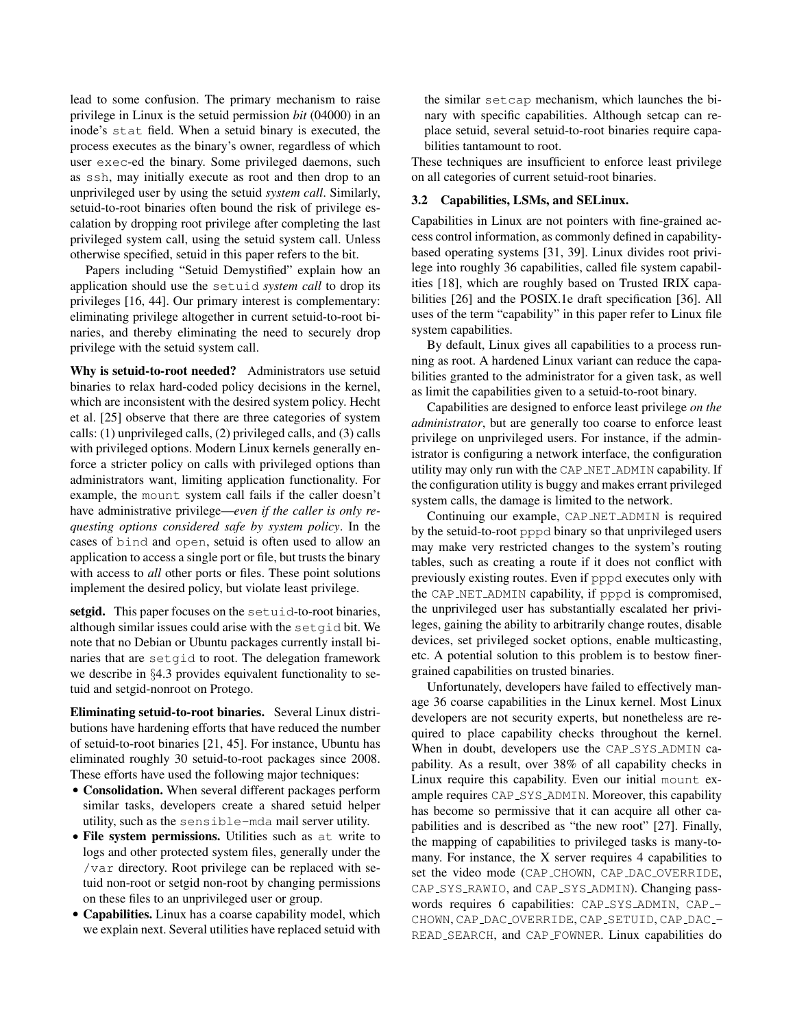lead to some confusion. The primary mechanism to raise privilege in Linux is the setuid permission *bit* (04000) in an inode's stat field. When a setuid binary is executed, the process executes as the binary's owner, regardless of which user exec-ed the binary. Some privileged daemons, such as ssh, may initially execute as root and then drop to an unprivileged user by using the setuid *system call*. Similarly, setuid-to-root binaries often bound the risk of privilege escalation by dropping root privilege after completing the last privileged system call, using the setuid system call. Unless otherwise specified, setuid in this paper refers to the bit.

Papers including "Setuid Demystified" explain how an application should use the setuid *system call* to drop its privileges [16, 44]. Our primary interest is complementary: eliminating privilege altogether in current setuid-to-root binaries, and thereby eliminating the need to securely drop privilege with the setuid system call.

Why is setuid-to-root needed? Administrators use setuid binaries to relax hard-coded policy decisions in the kernel, which are inconsistent with the desired system policy. Hecht et al. [25] observe that there are three categories of system calls: (1) unprivileged calls, (2) privileged calls, and (3) calls with privileged options. Modern Linux kernels generally enforce a stricter policy on calls with privileged options than administrators want, limiting application functionality. For example, the mount system call fails if the caller doesn't have administrative privilege—*even if the caller is only requesting options considered safe by system policy*. In the cases of bind and open, setuid is often used to allow an application to access a single port or file, but trusts the binary with access to *all* other ports or files. These point solutions implement the desired policy, but violate least privilege.

setgid. This paper focuses on the setuid-to-root binaries, although similar issues could arise with the setgid bit. We note that no Debian or Ubuntu packages currently install binaries that are setgid to root. The delegation framework we describe in §4.3 provides equivalent functionality to setuid and setgid-nonroot on Protego.

Eliminating setuid-to-root binaries. Several Linux distributions have hardening efforts that have reduced the number of setuid-to-root binaries [21, 45]. For instance, Ubuntu has eliminated roughly 30 setuid-to-root packages since 2008. These efforts have used the following major techniques:

- Consolidation. When several different packages perform similar tasks, developers create a shared setuid helper utility, such as the sensible-mda mail server utility.
- File system permissions. Utilities such as at write to logs and other protected system files, generally under the /var directory. Root privilege can be replaced with setuid non-root or setgid non-root by changing permissions on these files to an unprivileged user or group.
- Capabilities. Linux has a coarse capability model, which we explain next. Several utilities have replaced setuid with

the similar setcap mechanism, which launches the binary with specific capabilities. Although setcap can replace setuid, several setuid-to-root binaries require capabilities tantamount to root.

These techniques are insufficient to enforce least privilege on all categories of current setuid-root binaries.

## 3.2 Capabilities, LSMs, and SELinux.

Capabilities in Linux are not pointers with fine-grained access control information, as commonly defined in capabilitybased operating systems [31, 39]. Linux divides root privilege into roughly 36 capabilities, called file system capabilities [18], which are roughly based on Trusted IRIX capabilities [26] and the POSIX.1e draft specification [36]. All uses of the term "capability" in this paper refer to Linux file system capabilities.

By default, Linux gives all capabilities to a process running as root. A hardened Linux variant can reduce the capabilities granted to the administrator for a given task, as well as limit the capabilities given to a setuid-to-root binary.

Capabilities are designed to enforce least privilege *on the administrator*, but are generally too coarse to enforce least privilege on unprivileged users. For instance, if the administrator is configuring a network interface, the configuration utility may only run with the CAP NET ADMIN capability. If the configuration utility is buggy and makes errant privileged system calls, the damage is limited to the network.

Continuing our example, CAP\_NET\_ADMIN is required by the setuid-to-root pppd binary so that unprivileged users may make very restricted changes to the system's routing tables, such as creating a route if it does not conflict with previously existing routes. Even if pppd executes only with the CAP NET ADMIN capability, if pppd is compromised, the unprivileged user has substantially escalated her privileges, gaining the ability to arbitrarily change routes, disable devices, set privileged socket options, enable multicasting, etc. A potential solution to this problem is to bestow finergrained capabilities on trusted binaries.

Unfortunately, developers have failed to effectively manage 36 coarse capabilities in the Linux kernel. Most Linux developers are not security experts, but nonetheless are required to place capability checks throughout the kernel. When in doubt, developers use the CAP\_SYS\_ADMIN capability. As a result, over 38% of all capability checks in Linux require this capability. Even our initial mount example requires CAP\_SYS\_ADMIN. Moreover, this capability has become so permissive that it can acquire all other capabilities and is described as "the new root" [27]. Finally, the mapping of capabilities to privileged tasks is many-tomany. For instance, the X server requires 4 capabilities to set the video mode (CAP\_CHOWN, CAP\_DAC\_OVERRIDE, CAP\_SYS\_RAWIO, and CAP\_SYS\_ADMIN). Changing passwords requires 6 capabilities: CAP\_SYS\_ADMIN, CAP\_-CHOWN, CAP\_DAC\_OVERRIDE, CAP\_SETUID, CAP\_DAC\_-READ SEARCH, and CAP FOWNER. Linux capabilities do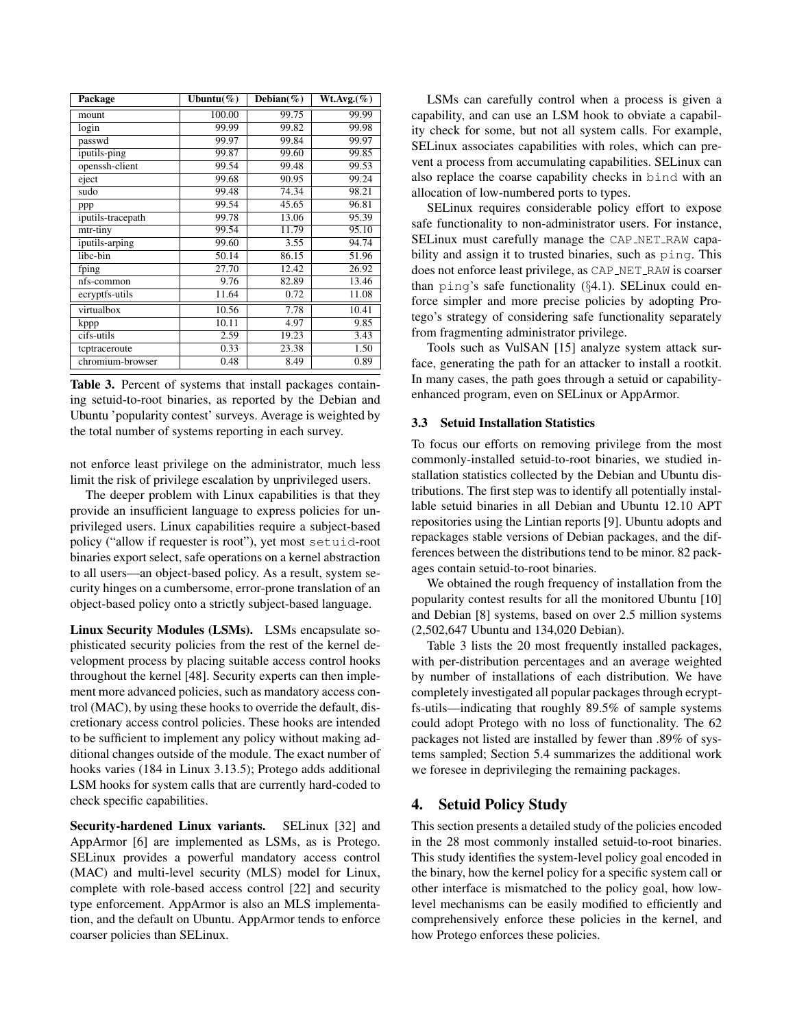| Package           | Ubuntu $(\%)$ | Debian $(\%)$ | Wt.Avg.(%) |
|-------------------|---------------|---------------|------------|
| mount             | 100.00        | 99.75         | 99.99      |
| login             | 99.99         | 99.82         | 99.98      |
| passwd            | 99.97         | 99.84         | 99.97      |
| iputils-ping      | 99.87         | 99.60         | 99.85      |
| openssh-client    | 99.54         | 99.48         | 99.53      |
| eject             | 99.68         | 90.95         | 99.24      |
| sudo              | 99.48         | 74.34         | 98.21      |
| ppp               | 99.54         | 45.65         | 96.81      |
| iputils-tracepath | 99.78         | 13.06         | 95.39      |
| mtr-tiny          | 99.54         | 11.79         | 95.10      |
| iputils-arping    | 99.60         | 3.55          | 94.74      |
| libc-bin          | 50.14         | 86.15         | 51.96      |
| fping             | 27.70         | 12.42         | 26.92      |
| nfs-common        | 9.76          | 82.89         | 13.46      |
| ecryptfs-utils    | 11.64         | 0.72          | 11.08      |
| virtualbox        | 10.56         | 7.78          | 10.41      |
| kppp              | 10.11         | 4.97          | 9.85       |
| cifs-utils        | 2.59          | 19.23         | 3.43       |
| tcptraceroute     | 0.33          | 23.38         | 1.50       |
| chromium-browser  | 0.48          | 8.49          | 0.89       |

Table 3. Percent of systems that install packages containing setuid-to-root binaries, as reported by the Debian and Ubuntu 'popularity contest' surveys. Average is weighted by the total number of systems reporting in each survey.

not enforce least privilege on the administrator, much less limit the risk of privilege escalation by unprivileged users.

The deeper problem with Linux capabilities is that they provide an insufficient language to express policies for unprivileged users. Linux capabilities require a subject-based policy ("allow if requester is root"), yet most setuid-root binaries export select, safe operations on a kernel abstraction to all users—an object-based policy. As a result, system security hinges on a cumbersome, error-prone translation of an object-based policy onto a strictly subject-based language.

Linux Security Modules (LSMs). LSMs encapsulate sophisticated security policies from the rest of the kernel development process by placing suitable access control hooks throughout the kernel [48]. Security experts can then implement more advanced policies, such as mandatory access control (MAC), by using these hooks to override the default, discretionary access control policies. These hooks are intended to be sufficient to implement any policy without making additional changes outside of the module. The exact number of hooks varies (184 in Linux 3.13.5); Protego adds additional LSM hooks for system calls that are currently hard-coded to check specific capabilities.

Security-hardened Linux variants. SELinux [32] and AppArmor [6] are implemented as LSMs, as is Protego. SELinux provides a powerful mandatory access control (MAC) and multi-level security (MLS) model for Linux, complete with role-based access control [22] and security type enforcement. AppArmor is also an MLS implementation, and the default on Ubuntu. AppArmor tends to enforce coarser policies than SELinux.

LSMs can carefully control when a process is given a capability, and can use an LSM hook to obviate a capability check for some, but not all system calls. For example, SELinux associates capabilities with roles, which can prevent a process from accumulating capabilities. SELinux can also replace the coarse capability checks in bind with an allocation of low-numbered ports to types.

SELinux requires considerable policy effort to expose safe functionality to non-administrator users. For instance, SELinux must carefully manage the CAP NET RAW capability and assign it to trusted binaries, such as ping. This does not enforce least privilege, as CAP NET RAW is coarser than ping's safe functionality (§4.1). SELinux could enforce simpler and more precise policies by adopting Protego's strategy of considering safe functionality separately from fragmenting administrator privilege.

Tools such as VulSAN [15] analyze system attack surface, generating the path for an attacker to install a rootkit. In many cases, the path goes through a setuid or capabilityenhanced program, even on SELinux or AppArmor.

#### 3.3 Setuid Installation Statistics

To focus our efforts on removing privilege from the most commonly-installed setuid-to-root binaries, we studied installation statistics collected by the Debian and Ubuntu distributions. The first step was to identify all potentially installable setuid binaries in all Debian and Ubuntu 12.10 APT repositories using the Lintian reports [9]. Ubuntu adopts and repackages stable versions of Debian packages, and the differences between the distributions tend to be minor. 82 packages contain setuid-to-root binaries.

We obtained the rough frequency of installation from the popularity contest results for all the monitored Ubuntu [10] and Debian [8] systems, based on over 2.5 million systems (2,502,647 Ubuntu and 134,020 Debian).

Table 3 lists the 20 most frequently installed packages, with per-distribution percentages and an average weighted by number of installations of each distribution. We have completely investigated all popular packages through ecryptfs-utils—indicating that roughly 89.5% of sample systems could adopt Protego with no loss of functionality. The 62 packages not listed are installed by fewer than .89% of systems sampled; Section 5.4 summarizes the additional work we foresee in deprivileging the remaining packages.

# 4. Setuid Policy Study

This section presents a detailed study of the policies encoded in the 28 most commonly installed setuid-to-root binaries. This study identifies the system-level policy goal encoded in the binary, how the kernel policy for a specific system call or other interface is mismatched to the policy goal, how lowlevel mechanisms can be easily modified to efficiently and comprehensively enforce these policies in the kernel, and how Protego enforces these policies.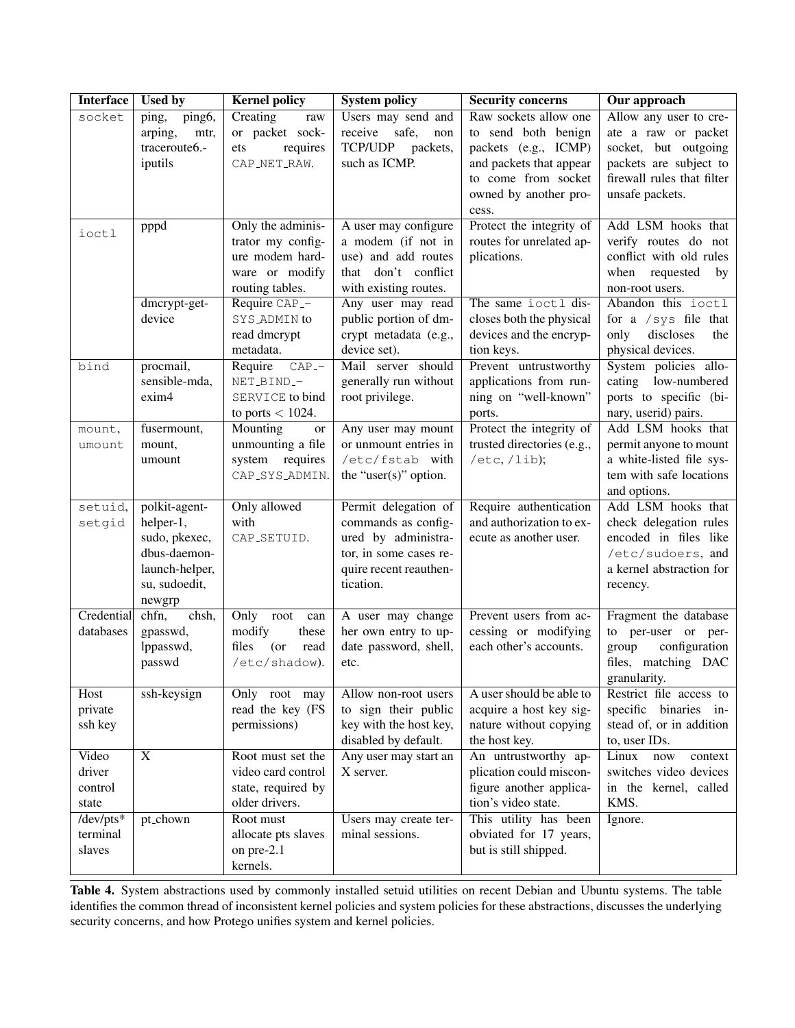| <b>Interface</b>                    | <b>Used by</b>                                                                                           | <b>Kernel policy</b>                                                                                                            | <b>System policy</b>                                                                                                                                            | <b>Security concerns</b>                                                                                                                                 | Our approach                                                                                                                                                        |
|-------------------------------------|----------------------------------------------------------------------------------------------------------|---------------------------------------------------------------------------------------------------------------------------------|-----------------------------------------------------------------------------------------------------------------------------------------------------------------|----------------------------------------------------------------------------------------------------------------------------------------------------------|---------------------------------------------------------------------------------------------------------------------------------------------------------------------|
| socket                              | ping,<br>ping <sub>6</sub> ,<br>arping,<br>mtr,<br>traceroute6.-<br>iputils                              | Creating<br>raw<br>or packet sock-<br>ets<br>requires<br>CAP_NET_RAW.                                                           | Users may send and<br>safe,<br>receive<br>non<br><b>TCP/UDP</b><br>packets,<br>such as ICMP.                                                                    | Raw sockets allow one<br>to send both benign<br>packets (e.g., ICMP)<br>and packets that appear<br>to come from socket<br>owned by another pro-<br>cess. | Allow any user to cre-<br>ate a raw or packet<br>socket, but outgoing<br>packets are subject to<br>firewall rules that filter<br>unsafe packets.                    |
| ioctl                               | pppd<br>dmcrypt-get-<br>device                                                                           | Only the adminis-<br>trator my config-<br>ure modem hard-<br>ware or modify<br>routing tables.<br>Require CAP_-<br>SYS_ADMIN to | A user may configure<br>a modem (if not in<br>use) and add routes<br>that don't conflict<br>with existing routes.<br>Any user may read<br>public portion of dm- | Protect the integrity of<br>routes for unrelated ap-<br>plications.<br>The same ioctl dis-<br>closes both the physical                                   | Add LSM hooks that<br>verify routes do not<br>conflict with old rules<br>when<br>requested<br>by<br>non-root users.<br>Abandon this ioctl<br>for a $/sys$ file that |
|                                     |                                                                                                          | read dmcrypt<br>metadata.                                                                                                       | crypt metadata (e.g.,<br>device set).                                                                                                                           | devices and the encryp-<br>tion keys.                                                                                                                    | discloses<br>only<br>the<br>physical devices.                                                                                                                       |
| bind                                | procmail,<br>sensible-mda,<br>exim4                                                                      | Require<br>$CAP$ -<br>NET_BIND_-<br>SERVICE to bind<br>to ports $< 1024$ .                                                      | Mail server should<br>generally run without<br>root privilege.                                                                                                  | Prevent untrustworthy<br>applications from run-<br>ning on "well-known"<br>ports.                                                                        | System policies allo-<br>cating low-numbered<br>ports to specific (bi-<br>nary, userid) pairs.                                                                      |
| mount,<br>umount                    | fusermount,<br>mount,<br>umount                                                                          | Mounting<br>or<br>unmounting a file<br>system<br>requires<br>CAP_SYS_ADMIN.                                                     | Any user may mount<br>or unmount entries in<br>/etc/fstab with<br>the "user $(s)$ " option.                                                                     | Protect the integrity of<br>trusted directories (e.g.,<br>/etc, /lib);                                                                                   | Add LSM hooks that<br>permit anyone to mount<br>a white-listed file sys-<br>tem with safe locations<br>and options.                                                 |
| setuid,<br>setgid                   | polkit-agent-<br>helper-1,<br>sudo, pkexec,<br>dbus-daemon-<br>launch-helper,<br>su, sudoedit,<br>newgrp | Only allowed<br>with<br>CAP_SETUID.                                                                                             | Permit delegation of<br>commands as config-<br>ured by administra-<br>tor, in some cases re-<br>quire recent reauthen-<br>tication.                             | Require authentication<br>and authorization to ex-<br>ecute as another user.                                                                             | Add LSM hooks that<br>check delegation rules<br>encoded in files like<br>/etc/sudoers, and<br>a kernel abstraction for<br>recency.                                  |
| Credential<br>databases             | chsh,<br>chfn,<br>gpasswd,<br>lppasswd,<br>passwd                                                        | Only<br>root<br>can<br>modify<br>these<br>files<br>(or<br>read<br>/etc/shadow).                                                 | A user may change<br>her own entry to up-<br>date password, shell,<br>etc.                                                                                      | Prevent users from ac-<br>cessing or modifying<br>each other's accounts.                                                                                 | Fragment the database<br>to per-user or per-<br>configuration<br>group<br>files, matching DAC<br>granularity.                                                       |
| Host<br>private<br>ssh key          | ssh-keysign                                                                                              | Only root may<br>read the key (FS<br>permissions)                                                                               | Allow non-root users<br>to sign their public<br>key with the host key,<br>disabled by default.                                                                  | A user should be able to<br>acquire a host key sig-<br>nature without copying<br>the host key.                                                           | Restrict file access to<br>specific binaries in-<br>stead of, or in addition<br>to, user IDs.                                                                       |
| Video<br>driver<br>control<br>state | X                                                                                                        | Root must set the<br>video card control<br>state, required by<br>older drivers.                                                 | Any user may start an<br>X server.                                                                                                                              | An untrustworthy ap-<br>plication could miscon-<br>figure another applica-<br>tion's video state.                                                        | Linux<br>now<br>context<br>switches video devices<br>in the kernel, called<br>KMS.                                                                                  |
| /dev/pts*<br>terminal<br>slaves     | pt_chown                                                                                                 | Root must<br>allocate pts slaves<br>on pre-2.1<br>kernels.                                                                      | Users may create ter-<br>minal sessions.                                                                                                                        | This utility has been<br>obviated for 17 years,<br>but is still shipped.                                                                                 | Ignore.                                                                                                                                                             |

Table 4. System abstractions used by commonly installed setuid utilities on recent Debian and Ubuntu systems. The table identifies the common thread of inconsistent kernel policies and system policies for these abstractions, discusses the underlying security concerns, and how Protego unifies system and kernel policies.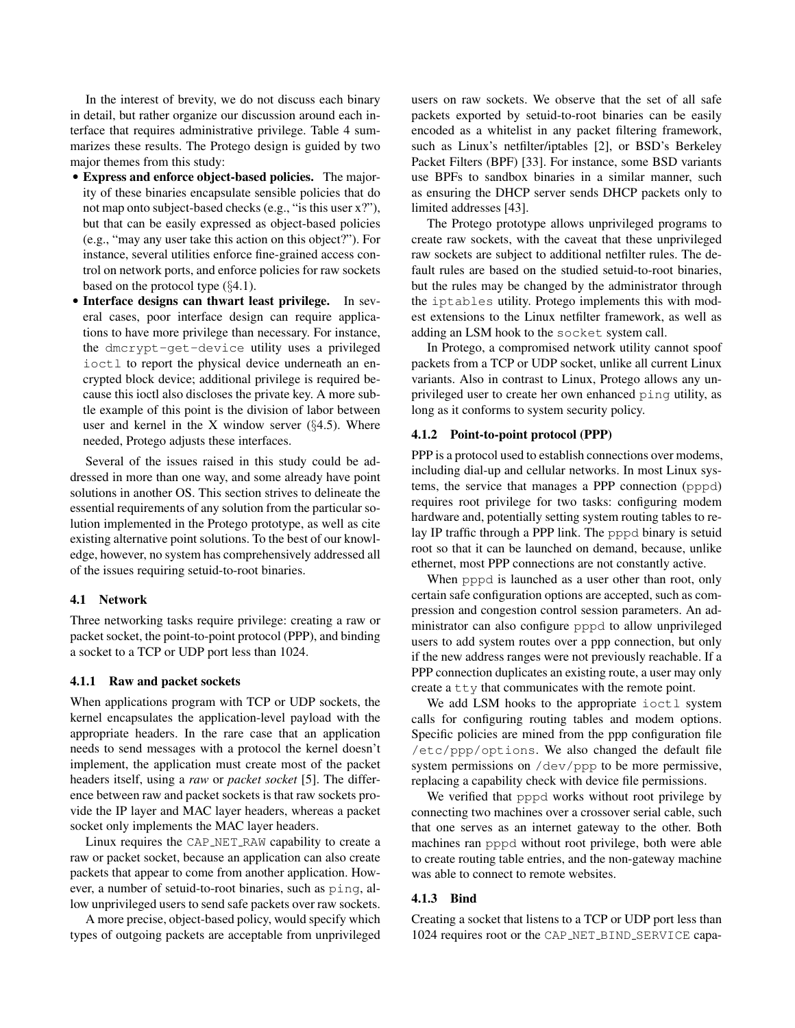In the interest of brevity, we do not discuss each binary in detail, but rather organize our discussion around each interface that requires administrative privilege. Table 4 summarizes these results. The Protego design is guided by two major themes from this study:

- Express and enforce object-based policies. The majority of these binaries encapsulate sensible policies that do not map onto subject-based checks (e.g., "is this user x?"), but that can be easily expressed as object-based policies (e.g., "may any user take this action on this object?"). For instance, several utilities enforce fine-grained access control on network ports, and enforce policies for raw sockets based on the protocol type (§4.1).
- Interface designs can thwart least privilege. In several cases, poor interface design can require applications to have more privilege than necessary. For instance, the dmcrypt-get-device utility uses a privileged ioctl to report the physical device underneath an encrypted block device; additional privilege is required because this ioctl also discloses the private key. A more subtle example of this point is the division of labor between user and kernel in the X window server  $(64.5)$ . Where needed, Protego adjusts these interfaces.

Several of the issues raised in this study could be addressed in more than one way, and some already have point solutions in another OS. This section strives to delineate the essential requirements of any solution from the particular solution implemented in the Protego prototype, as well as cite existing alternative point solutions. To the best of our knowledge, however, no system has comprehensively addressed all of the issues requiring setuid-to-root binaries.

## 4.1 Network

Three networking tasks require privilege: creating a raw or packet socket, the point-to-point protocol (PPP), and binding a socket to a TCP or UDP port less than 1024.

#### 4.1.1 Raw and packet sockets

When applications program with TCP or UDP sockets, the kernel encapsulates the application-level payload with the appropriate headers. In the rare case that an application needs to send messages with a protocol the kernel doesn't implement, the application must create most of the packet headers itself, using a *raw* or *packet socket* [5]. The difference between raw and packet sockets is that raw sockets provide the IP layer and MAC layer headers, whereas a packet socket only implements the MAC layer headers.

Linux requires the CAP NET RAW capability to create a raw or packet socket, because an application can also create packets that appear to come from another application. However, a number of setuid-to-root binaries, such as ping, allow unprivileged users to send safe packets over raw sockets.

A more precise, object-based policy, would specify which types of outgoing packets are acceptable from unprivileged

users on raw sockets. We observe that the set of all safe packets exported by setuid-to-root binaries can be easily encoded as a whitelist in any packet filtering framework, such as Linux's netfilter/iptables [2], or BSD's Berkeley Packet Filters (BPF) [33]. For instance, some BSD variants use BPFs to sandbox binaries in a similar manner, such as ensuring the DHCP server sends DHCP packets only to limited addresses [43].

The Protego prototype allows unprivileged programs to create raw sockets, with the caveat that these unprivileged raw sockets are subject to additional netfilter rules. The default rules are based on the studied setuid-to-root binaries, but the rules may be changed by the administrator through the iptables utility. Protego implements this with modest extensions to the Linux netfilter framework, as well as adding an LSM hook to the socket system call.

In Protego, a compromised network utility cannot spoof packets from a TCP or UDP socket, unlike all current Linux variants. Also in contrast to Linux, Protego allows any unprivileged user to create her own enhanced ping utility, as long as it conforms to system security policy.

#### 4.1.2 Point-to-point protocol (PPP)

PPP is a protocol used to establish connections over modems, including dial-up and cellular networks. In most Linux systems, the service that manages a PPP connection (pppd) requires root privilege for two tasks: configuring modem hardware and, potentially setting system routing tables to relay IP traffic through a PPP link. The pppd binary is setuid root so that it can be launched on demand, because, unlike ethernet, most PPP connections are not constantly active.

When pppd is launched as a user other than root, only certain safe configuration options are accepted, such as compression and congestion control session parameters. An administrator can also configure pppd to allow unprivileged users to add system routes over a ppp connection, but only if the new address ranges were not previously reachable. If a PPP connection duplicates an existing route, a user may only create a tty that communicates with the remote point.

We add LSM hooks to the appropriate ioctl system calls for configuring routing tables and modem options. Specific policies are mined from the ppp configuration file /etc/ppp/options. We also changed the default file system permissions on /dev/ppp to be more permissive, replacing a capability check with device file permissions.

We verified that pppd works without root privilege by connecting two machines over a crossover serial cable, such that one serves as an internet gateway to the other. Both machines ran pppd without root privilege, both were able to create routing table entries, and the non-gateway machine was able to connect to remote websites.

# 4.1.3 Bind

Creating a socket that listens to a TCP or UDP port less than 1024 requires root or the CAP\_NET\_BIND\_SERVICE capa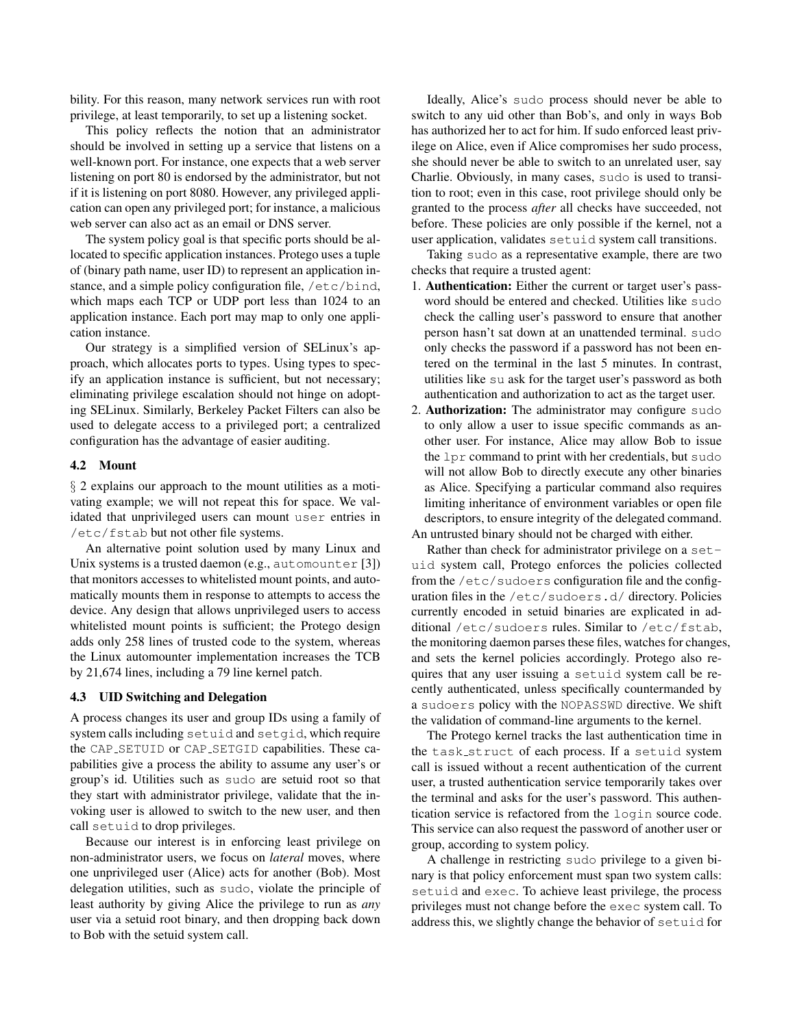bility. For this reason, many network services run with root privilege, at least temporarily, to set up a listening socket.

This policy reflects the notion that an administrator should be involved in setting up a service that listens on a well-known port. For instance, one expects that a web server listening on port 80 is endorsed by the administrator, but not if it is listening on port 8080. However, any privileged application can open any privileged port; for instance, a malicious web server can also act as an email or DNS server.

The system policy goal is that specific ports should be allocated to specific application instances. Protego uses a tuple of (binary path name, user ID) to represent an application instance, and a simple policy configuration file, /etc/bind, which maps each TCP or UDP port less than 1024 to an application instance. Each port may map to only one application instance.

Our strategy is a simplified version of SELinux's approach, which allocates ports to types. Using types to specify an application instance is sufficient, but not necessary; eliminating privilege escalation should not hinge on adopting SELinux. Similarly, Berkeley Packet Filters can also be used to delegate access to a privileged port; a centralized configuration has the advantage of easier auditing.

#### 4.2 Mount

§ 2 explains our approach to the mount utilities as a motivating example; we will not repeat this for space. We validated that unprivileged users can mount user entries in /etc/fstab but not other file systems.

An alternative point solution used by many Linux and Unix systems is a trusted daemon (e.g., automounter [3]) that monitors accesses to whitelisted mount points, and automatically mounts them in response to attempts to access the device. Any design that allows unprivileged users to access whitelisted mount points is sufficient; the Protego design adds only 258 lines of trusted code to the system, whereas the Linux automounter implementation increases the TCB by 21,674 lines, including a 79 line kernel patch.

#### 4.3 UID Switching and Delegation

A process changes its user and group IDs using a family of system calls including setuid and setgid, which require the CAP SETUID or CAP SETGID capabilities. These capabilities give a process the ability to assume any user's or group's id. Utilities such as sudo are setuid root so that they start with administrator privilege, validate that the invoking user is allowed to switch to the new user, and then call setuid to drop privileges.

Because our interest is in enforcing least privilege on non-administrator users, we focus on *lateral* moves, where one unprivileged user (Alice) acts for another (Bob). Most delegation utilities, such as sudo, violate the principle of least authority by giving Alice the privilege to run as *any* user via a setuid root binary, and then dropping back down to Bob with the setuid system call.

Ideally, Alice's sudo process should never be able to switch to any uid other than Bob's, and only in ways Bob has authorized her to act for him. If sudo enforced least privilege on Alice, even if Alice compromises her sudo process, she should never be able to switch to an unrelated user, say Charlie. Obviously, in many cases, sudo is used to transition to root; even in this case, root privilege should only be granted to the process *after* all checks have succeeded, not before. These policies are only possible if the kernel, not a user application, validates setuid system call transitions.

Taking sudo as a representative example, there are two checks that require a trusted agent:

- 1. Authentication: Either the current or target user's password should be entered and checked. Utilities like sudo check the calling user's password to ensure that another person hasn't sat down at an unattended terminal. sudo only checks the password if a password has not been entered on the terminal in the last 5 minutes. In contrast, utilities like su ask for the target user's password as both authentication and authorization to act as the target user.
- 2. **Authorization:** The administrator may configure sudo to only allow a user to issue specific commands as another user. For instance, Alice may allow Bob to issue the lpr command to print with her credentials, but sudo will not allow Bob to directly execute any other binaries as Alice. Specifying a particular command also requires limiting inheritance of environment variables or open file descriptors, to ensure integrity of the delegated command. An untrusted binary should not be charged with either.

Rather than check for administrator privilege on a setuid system call, Protego enforces the policies collected from the /etc/sudoers configuration file and the configuration files in the /etc/sudoers.d/ directory. Policies currently encoded in setuid binaries are explicated in additional /etc/sudoers rules. Similar to /etc/fstab, the monitoring daemon parses these files, watches for changes, and sets the kernel policies accordingly. Protego also requires that any user issuing a setuid system call be recently authenticated, unless specifically countermanded by a sudoers policy with the NOPASSWD directive. We shift the validation of command-line arguments to the kernel.

The Protego kernel tracks the last authentication time in the task struct of each process. If a setuid system call is issued without a recent authentication of the current user, a trusted authentication service temporarily takes over the terminal and asks for the user's password. This authentication service is refactored from the login source code. This service can also request the password of another user or group, according to system policy.

A challenge in restricting sudo privilege to a given binary is that policy enforcement must span two system calls: setuid and exec. To achieve least privilege, the process privileges must not change before the exec system call. To address this, we slightly change the behavior of setuid for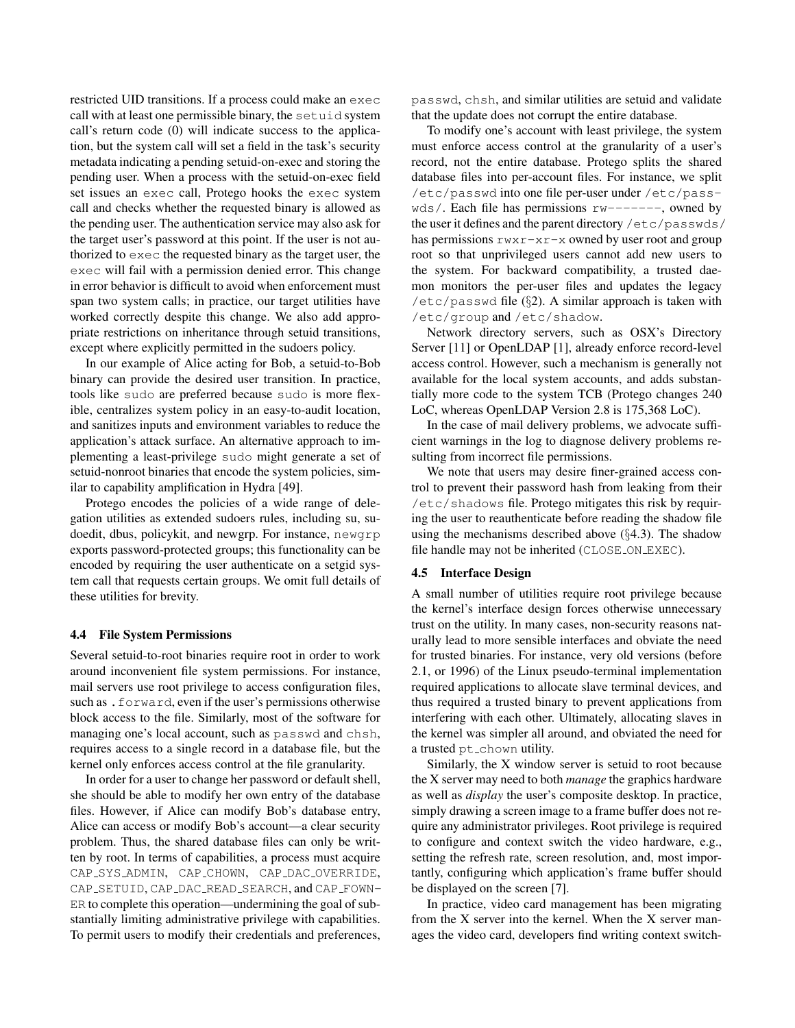restricted UID transitions. If a process could make an exec call with at least one permissible binary, the setuid system call's return code (0) will indicate success to the application, but the system call will set a field in the task's security metadata indicating a pending setuid-on-exec and storing the pending user. When a process with the setuid-on-exec field set issues an exec call, Protego hooks the exec system call and checks whether the requested binary is allowed as the pending user. The authentication service may also ask for the target user's password at this point. If the user is not authorized to exec the requested binary as the target user, the exec will fail with a permission denied error. This change in error behavior is difficult to avoid when enforcement must span two system calls; in practice, our target utilities have worked correctly despite this change. We also add appropriate restrictions on inheritance through setuid transitions, except where explicitly permitted in the sudoers policy.

In our example of Alice acting for Bob, a setuid-to-Bob binary can provide the desired user transition. In practice, tools like sudo are preferred because sudo is more flexible, centralizes system policy in an easy-to-audit location, and sanitizes inputs and environment variables to reduce the application's attack surface. An alternative approach to implementing a least-privilege sudo might generate a set of setuid-nonroot binaries that encode the system policies, similar to capability amplification in Hydra [49].

Protego encodes the policies of a wide range of delegation utilities as extended sudoers rules, including su, sudoedit, dbus, policykit, and newgrp. For instance, newgrp exports password-protected groups; this functionality can be encoded by requiring the user authenticate on a setgid system call that requests certain groups. We omit full details of these utilities for brevity.

#### 4.4 File System Permissions

Several setuid-to-root binaries require root in order to work around inconvenient file system permissions. For instance, mail servers use root privilege to access configuration files, such as .forward, even if the user's permissions otherwise block access to the file. Similarly, most of the software for managing one's local account, such as passwd and chsh, requires access to a single record in a database file, but the kernel only enforces access control at the file granularity.

In order for a user to change her password or default shell, she should be able to modify her own entry of the database files. However, if Alice can modify Bob's database entry, Alice can access or modify Bob's account—a clear security problem. Thus, the shared database files can only be written by root. In terms of capabilities, a process must acquire CAP SYS ADMIN, CAP CHOWN, CAP DAC OVERRIDE, CAP\_SETUID, CAP\_DAC\_READ\_SEARCH, and CAP\_FOWN-ER to complete this operation—undermining the goal of substantially limiting administrative privilege with capabilities. To permit users to modify their credentials and preferences,

passwd, chsh, and similar utilities are setuid and validate that the update does not corrupt the entire database.

To modify one's account with least privilege, the system must enforce access control at the granularity of a user's record, not the entire database. Protego splits the shared database files into per-account files. For instance, we split /etc/passwd into one file per-user under /etc/pass $wds/$ . Each file has permissions  $rw-----$ , owned by the user it defines and the parent directory /etc/passwds/ has permissions  $rwxr-xr-x$  owned by user root and group root so that unprivileged users cannot add new users to the system. For backward compatibility, a trusted daemon monitors the per-user files and updates the legacy /etc/passwd file  $(\S2)$ . A similar approach is taken with /etc/group and /etc/shadow.

Network directory servers, such as OSX's Directory Server [11] or OpenLDAP [1], already enforce record-level access control. However, such a mechanism is generally not available for the local system accounts, and adds substantially more code to the system TCB (Protego changes 240 LoC, whereas OpenLDAP Version 2.8 is 175,368 LoC).

In the case of mail delivery problems, we advocate sufficient warnings in the log to diagnose delivery problems resulting from incorrect file permissions.

We note that users may desire finer-grained access control to prevent their password hash from leaking from their /etc/shadows file. Protego mitigates this risk by requiring the user to reauthenticate before reading the shadow file using the mechanisms described above (§4.3). The shadow file handle may not be inherited (CLOSE ON EXEC).

#### 4.5 Interface Design

A small number of utilities require root privilege because the kernel's interface design forces otherwise unnecessary trust on the utility. In many cases, non-security reasons naturally lead to more sensible interfaces and obviate the need for trusted binaries. For instance, very old versions (before 2.1, or 1996) of the Linux pseudo-terminal implementation required applications to allocate slave terminal devices, and thus required a trusted binary to prevent applications from interfering with each other. Ultimately, allocating slaves in the kernel was simpler all around, and obviated the need for a trusted pt\_chown utility.

Similarly, the X window server is setuid to root because the X server may need to both *manage* the graphics hardware as well as *display* the user's composite desktop. In practice, simply drawing a screen image to a frame buffer does not require any administrator privileges. Root privilege is required to configure and context switch the video hardware, e.g., setting the refresh rate, screen resolution, and, most importantly, configuring which application's frame buffer should be displayed on the screen [7].

In practice, video card management has been migrating from the X server into the kernel. When the X server manages the video card, developers find writing context switch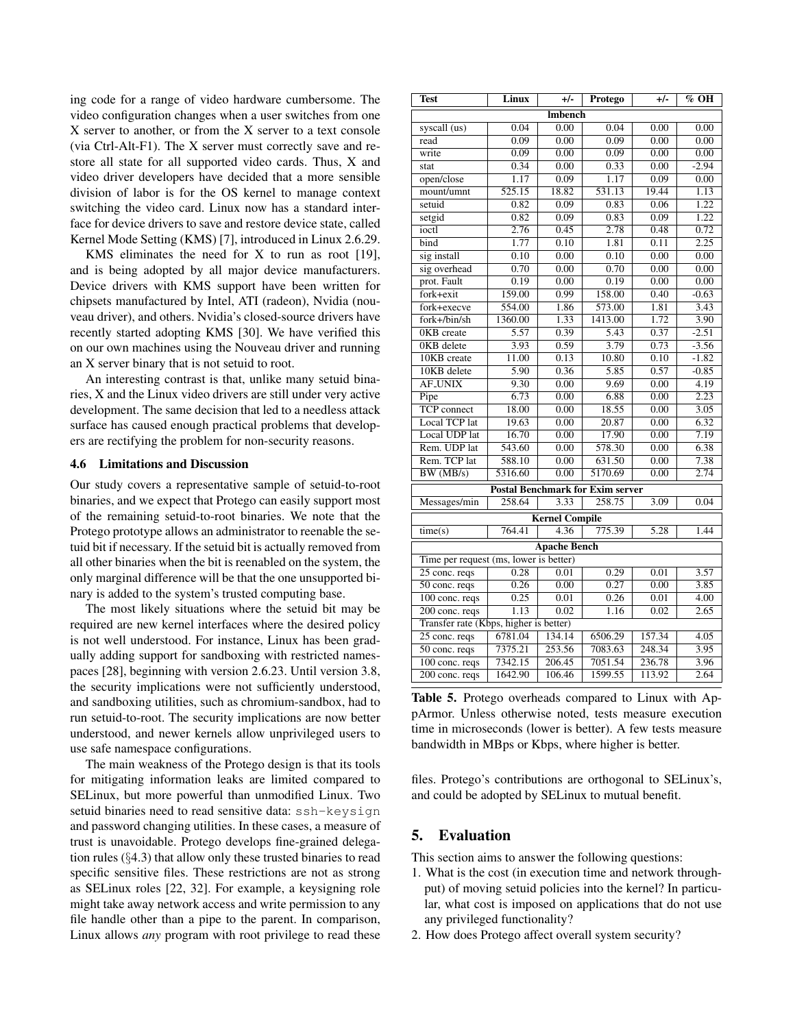ing code for a range of video hardware cumbersome. The video configuration changes when a user switches from one X server to another, or from the X server to a text console (via Ctrl-Alt-F1). The X server must correctly save and restore all state for all supported video cards. Thus, X and video driver developers have decided that a more sensible division of labor is for the OS kernel to manage context switching the video card. Linux now has a standard interface for device drivers to save and restore device state, called Kernel Mode Setting (KMS) [7], introduced in Linux 2.6.29.

KMS eliminates the need for X to run as root [19], and is being adopted by all major device manufacturers. Device drivers with KMS support have been written for chipsets manufactured by Intel, ATI (radeon), Nvidia (nouveau driver), and others. Nvidia's closed-source drivers have recently started adopting KMS [30]. We have verified this on our own machines using the Nouveau driver and running an X server binary that is not setuid to root.

An interesting contrast is that, unlike many setuid binaries, X and the Linux video drivers are still under very active development. The same decision that led to a needless attack surface has caused enough practical problems that developers are rectifying the problem for non-security reasons.

#### 4.6 Limitations and Discussion

Our study covers a representative sample of setuid-to-root binaries, and we expect that Protego can easily support most of the remaining setuid-to-root binaries. We note that the Protego prototype allows an administrator to reenable the setuid bit if necessary. If the setuid bit is actually removed from all other binaries when the bit is reenabled on the system, the only marginal difference will be that the one unsupported binary is added to the system's trusted computing base.

The most likely situations where the setuid bit may be required are new kernel interfaces where the desired policy is not well understood. For instance, Linux has been gradually adding support for sandboxing with restricted namespaces [28], beginning with version 2.6.23. Until version 3.8, the security implications were not sufficiently understood, and sandboxing utilities, such as chromium-sandbox, had to run setuid-to-root. The security implications are now better understood, and newer kernels allow unprivileged users to use safe namespace configurations.

The main weakness of the Protego design is that its tools for mitigating information leaks are limited compared to SELinux, but more powerful than unmodified Linux. Two setuid binaries need to read sensitive data: ssh-keysign and password changing utilities. In these cases, a measure of trust is unavoidable. Protego develops fine-grained delegation rules (§4.3) that allow only these trusted binaries to read specific sensitive files. These restrictions are not as strong as SELinux roles [22, 32]. For example, a keysigning role might take away network access and write permission to any file handle other than a pipe to the parent. In comparison, Linux allows *any* program with root privilege to read these

| <b>Test</b>                            | Linux                                  | $+/-$                 | Protego                                 | $+/-$  | % OH              |  |
|----------------------------------------|----------------------------------------|-----------------------|-----------------------------------------|--------|-------------------|--|
|                                        |                                        | Imbench               |                                         |        |                   |  |
| syscall (us)                           | 0.04                                   | 0.00                  | 0.04                                    | 0.00   | 0.00              |  |
| read                                   | 0.09                                   | 0.00                  | 0.09                                    | 0.00   | 0.00              |  |
| write                                  | 0.09                                   | 0.00                  | 0.09                                    | 0.00   | 0.00              |  |
| stat                                   | 0.34                                   | 0.00                  | 0.33                                    | 0.00   | $-2.94$           |  |
| open/close                             | 1.17                                   | 0.09                  | 1.17                                    | 0.09   | 0.00              |  |
| mount/umnt                             | $\overline{525.15}$                    | 18.82                 | 531.13                                  | 19.44  | 1.13              |  |
| setuid                                 | 0.82                                   | 0.09                  | 0.83                                    | 0.06   | 1.22              |  |
| setgid                                 | 0.82                                   | 0.09                  | 0.83                                    | 0.09   | 1.22              |  |
| ioctl                                  | 2.76                                   | 0.45                  | 2.78                                    | 0.48   | 0.72              |  |
| bind                                   | 1.77                                   | 0.10                  | 1.81                                    | 0.11   | 2.25              |  |
| sig install                            | 0.10                                   | 0.00                  | 0.10                                    | 0.00   | 0.00              |  |
| sig overhead                           | 0.70                                   | 0.00                  | 0.70                                    | 0.00   | 0.00              |  |
| prot. Fault                            | 0.19                                   | 0.00                  | 0.19                                    | 0.00   | 0.00              |  |
| fork+exit                              | 159.00                                 | 0.99                  | 158.00                                  | 0.40   | $-0.63$           |  |
| fork+execve                            | 554.00                                 | 1.86                  | 573.00                                  | 1.81   | 3.43              |  |
| fork+/bin/sh                           | 1360.00                                | 1.33                  | 1413.00                                 | 1.72   | 3.90              |  |
| OKB create                             | 5.57                                   | 0.39                  | 5.43                                    | 0.37   | $-2.51$           |  |
| 0KB delete                             | 3.93                                   | 0.59                  | 3.79                                    | 0.73   | $-3.56$           |  |
| 10KB create                            | 11.00                                  | 0.13                  | 10.80                                   | 0.10   | $-1.82$           |  |
| 10KB delete                            | 5.90                                   | 0.36                  | 5.85                                    | 0.57   | $-0.85$           |  |
| <b>AF_UNIX</b>                         | 9.30                                   | 0.00                  | 9.69                                    | 0.00   | 4.19              |  |
| Pipe                                   | 6.73                                   | 0.00                  | 6.88                                    | 0.00   | 2.23              |  |
| <b>TCP</b> connect                     | 18.00                                  | 0.00                  | 18.55                                   | 0.00   | $\overline{3.05}$ |  |
| Local TCP lat                          | 19.63                                  | 0.00                  | 20.87                                   | 0.00   | 6.32              |  |
| Local UDP lat                          | 16.70                                  | 0.00                  | 17.90                                   | 0.00   | 7.19              |  |
| Rem. UDP lat                           | 543.60                                 | 0.00                  | 578.30                                  | 0.00   | 6.38              |  |
| Rem. TCP lat                           | 588.10                                 | 0.00                  | 631.50                                  | 0.00   | 7.38              |  |
| BW(MB/s)                               | 5316.60                                | 0.00                  | 5170.69                                 | 0.00   | 2.74              |  |
|                                        |                                        |                       | <b>Postal Benchmark for Exim server</b> |        |                   |  |
| Messages/min                           | 258.64                                 | 3.33                  | 258.75                                  | 3.09   | 0.04              |  |
|                                        |                                        | <b>Kernel Compile</b> |                                         |        |                   |  |
| time(s)                                | 764.41                                 | 4.36                  | 775.39                                  | 5.28   | 1.44              |  |
|                                        |                                        | <b>Apache Bench</b>   |                                         |        |                   |  |
| Time per request (ms, lower is better) |                                        |                       |                                         |        |                   |  |
| 25 conc. reqs                          | 0.28                                   | 0.01                  | 0.29                                    | 0.01   | 3.57              |  |
| 50 conc. reqs                          | 0.26                                   | 0.00                  | 0.27                                    | 0.00   | 3.85              |  |
| 100 conc. reqs                         | 0.25                                   | 0.01                  | 0.26                                    | 0.01   | 4.00              |  |
| 200 conc. reqs                         | 1.13                                   | 0.02                  | 1.16                                    | 0.02   | 2.65              |  |
|                                        | Transfer rate (Kbps, higher is better) |                       |                                         |        |                   |  |
| $25$ conc. reqs                        | 6781.04                                | 134.14                | 6506.29                                 | 157.34 | 4.05              |  |
| 50 conc. reqs                          | 7375.21                                | 253.56                | 7083.63                                 | 248.34 | 3.95              |  |
| $100$ conc. reqs                       | 7342.15                                | 206.45                | 7051.54                                 | 236.78 | 3.96              |  |
| 200 conc. reqs                         | 1642.90                                | 106.46                | 1599.55                                 | 113.92 | 2.64              |  |

Table 5. Protego overheads compared to Linux with AppArmor. Unless otherwise noted, tests measure execution time in microseconds (lower is better). A few tests measure bandwidth in MBps or Kbps, where higher is better.

files. Protego's contributions are orthogonal to SELinux's, and could be adopted by SELinux to mutual benefit.

## 5. Evaluation

This section aims to answer the following questions:

- 1. What is the cost (in execution time and network throughput) of moving setuid policies into the kernel? In particular, what cost is imposed on applications that do not use any privileged functionality?
- 2. How does Protego affect overall system security?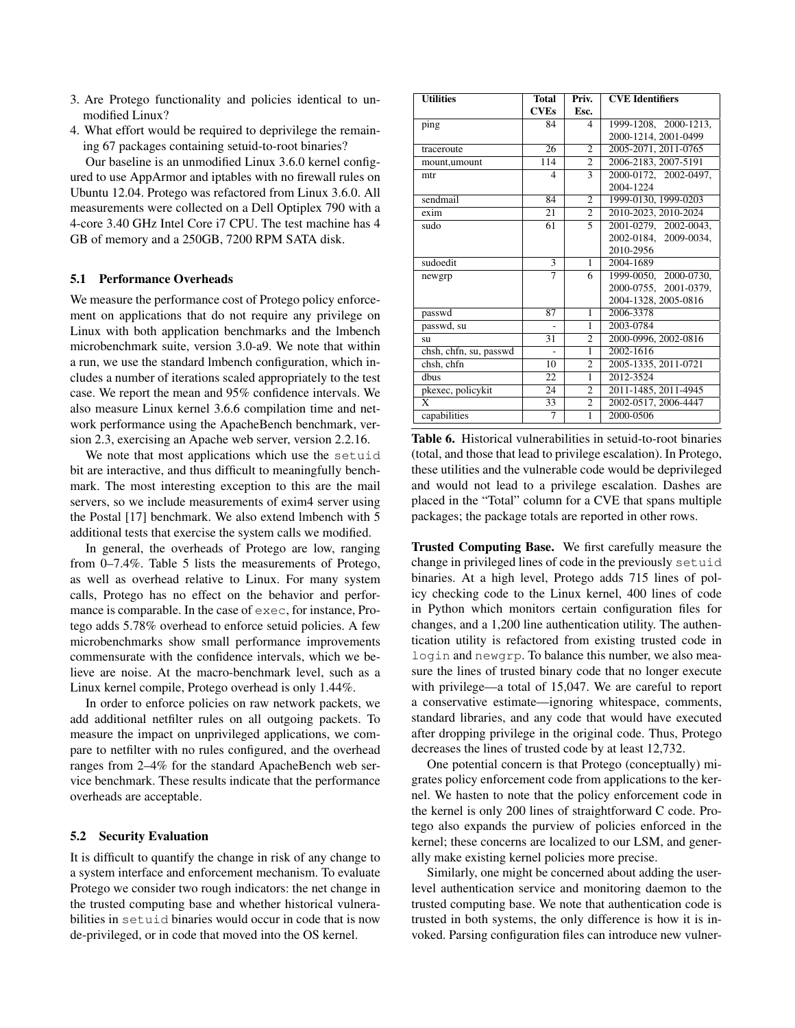- 3. Are Protego functionality and policies identical to unmodified Linux?
- 4. What effort would be required to deprivilege the remaining 67 packages containing setuid-to-root binaries?

Our baseline is an unmodified Linux 3.6.0 kernel configured to use AppArmor and iptables with no firewall rules on Ubuntu 12.04. Protego was refactored from Linux 3.6.0. All measurements were collected on a Dell Optiplex 790 with a 4-core 3.40 GHz Intel Core i7 CPU. The test machine has 4 GB of memory and a 250GB, 7200 RPM SATA disk.

#### 5.1 Performance Overheads

We measure the performance cost of Protego policy enforcement on applications that do not require any privilege on Linux with both application benchmarks and the lmbench microbenchmark suite, version 3.0-a9. We note that within a run, we use the standard lmbench configuration, which includes a number of iterations scaled appropriately to the test case. We report the mean and 95% confidence intervals. We also measure Linux kernel 3.6.6 compilation time and network performance using the ApacheBench benchmark, version 2.3, exercising an Apache web server, version 2.2.16.

We note that most applications which use the setuid bit are interactive, and thus difficult to meaningfully benchmark. The most interesting exception to this are the mail servers, so we include measurements of exim4 server using the Postal [17] benchmark. We also extend lmbench with 5 additional tests that exercise the system calls we modified.

In general, the overheads of Protego are low, ranging from 0–7.4%. Table 5 lists the measurements of Protego, as well as overhead relative to Linux. For many system calls, Protego has no effect on the behavior and performance is comparable. In the case of exec, for instance, Protego adds 5.78% overhead to enforce setuid policies. A few microbenchmarks show small performance improvements commensurate with the confidence intervals, which we believe are noise. At the macro-benchmark level, such as a Linux kernel compile, Protego overhead is only 1.44%.

In order to enforce policies on raw network packets, we add additional netfilter rules on all outgoing packets. To measure the impact on unprivileged applications, we compare to netfilter with no rules configured, and the overhead ranges from 2–4% for the standard ApacheBench web service benchmark. These results indicate that the performance overheads are acceptable.

#### 5.2 Security Evaluation

It is difficult to quantify the change in risk of any change to a system interface and enforcement mechanism. To evaluate Protego we consider two rough indicators: the net change in the trusted computing base and whether historical vulnerabilities in setuid binaries would occur in code that is now de-privileged, or in code that moved into the OS kernel.

| <b>Utilities</b>       | <b>Total</b> | Priv.                    | <b>CVE</b> Identifiers |
|------------------------|--------------|--------------------------|------------------------|
|                        | <b>CVEs</b>  | Esc.                     |                        |
| ping                   | 84           | 4                        | 1999-1208, 2000-1213,  |
|                        |              |                          | 2000-1214, 2001-0499   |
| traceroute             | 26           | $\overline{c}$           | 2005-2071, 2011-0765   |
| mount, umount          | 114          | $\overline{c}$           | 2006-2183, 2007-5191   |
| mtr                    | 4            | $\overline{\mathcal{E}}$ | 2000-0172, 2002-0497,  |
|                        |              |                          | 2004-1224              |
| sendmail               | 84           | $\overline{c}$           | 1999-0130, 1999-0203   |
| exim                   | 21           | $\overline{c}$           | 2010-2023, 2010-2024   |
| sudo                   | 61           | 5                        | 2001-0279, 2002-0043.  |
|                        |              |                          | 2002-0184, 2009-0034,  |
|                        |              |                          | 2010-2956              |
| sudoedit               | 3            | 1                        | 2004-1689              |
| newgrp                 | 7            | 6                        | 1999-0050, 2000-0730,  |
|                        |              |                          | 2000-0755, 2001-0379,  |
|                        |              |                          | 2004-1328, 2005-0816   |
| passwd                 | 87           | 1                        | 2006-3378              |
| passwd, su             |              | $\overline{1}$           | 2003-0784              |
| su                     | 31           | $\overline{2}$           | 2000-0996, 2002-0816   |
| chsh, chfn, su, passwd |              | 1                        | 2002-1616              |
| chsh, chfn             | 10           | $\overline{2}$           | 2005-1335, 2011-0721   |
| dhus                   | 22           | 1                        | 2012-3524              |
| pkexec, policykit      | 24           | $\overline{2}$           | 2011-1485, 2011-4945   |
| X                      | 33           | $\overline{c}$           | 2002-0517, 2006-4447   |
| capabilities           | 7            | 1                        | 2000-0506              |

Table 6. Historical vulnerabilities in setuid-to-root binaries (total, and those that lead to privilege escalation). In Protego, these utilities and the vulnerable code would be deprivileged and would not lead to a privilege escalation. Dashes are placed in the "Total" column for a CVE that spans multiple packages; the package totals are reported in other rows.

Trusted Computing Base. We first carefully measure the change in privileged lines of code in the previously setuid binaries. At a high level, Protego adds 715 lines of policy checking code to the Linux kernel, 400 lines of code in Python which monitors certain configuration files for changes, and a 1,200 line authentication utility. The authentication utility is refactored from existing trusted code in login and newgrp. To balance this number, we also measure the lines of trusted binary code that no longer execute with privilege—a total of 15,047. We are careful to report a conservative estimate—ignoring whitespace, comments, standard libraries, and any code that would have executed after dropping privilege in the original code. Thus, Protego decreases the lines of trusted code by at least 12,732.

One potential concern is that Protego (conceptually) migrates policy enforcement code from applications to the kernel. We hasten to note that the policy enforcement code in the kernel is only 200 lines of straightforward C code. Protego also expands the purview of policies enforced in the kernel; these concerns are localized to our LSM, and generally make existing kernel policies more precise.

Similarly, one might be concerned about adding the userlevel authentication service and monitoring daemon to the trusted computing base. We note that authentication code is trusted in both systems, the only difference is how it is invoked. Parsing configuration files can introduce new vulner-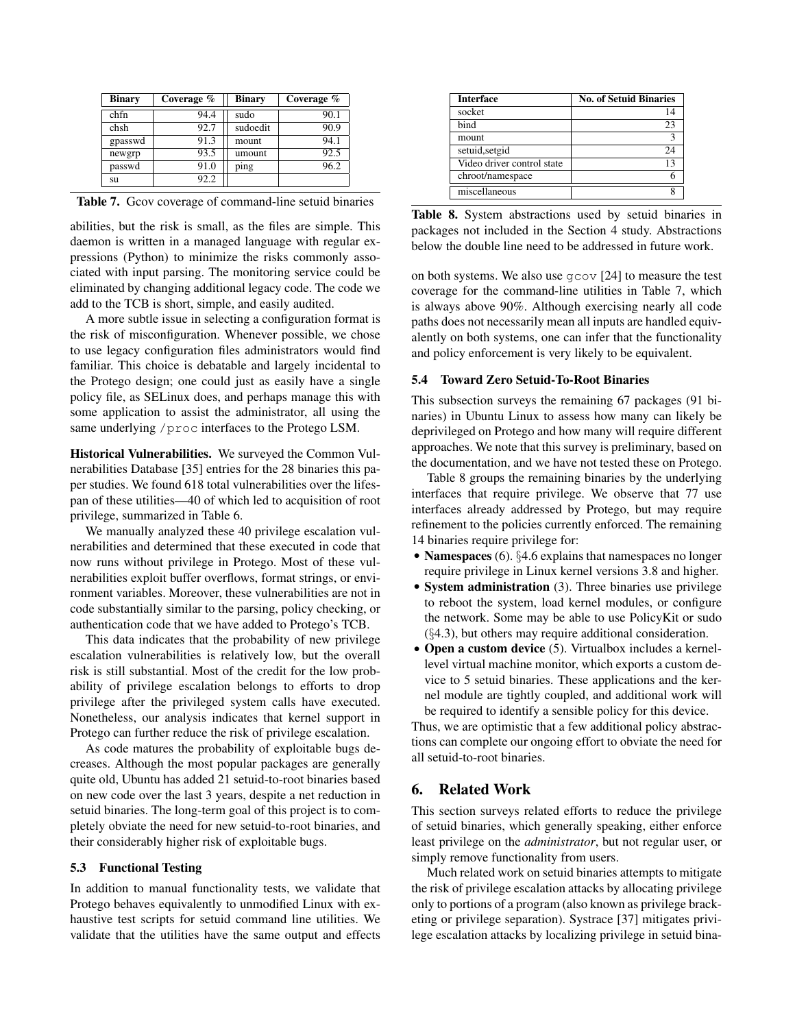| <b>Binary</b> | Coverage % | <b>Binary</b> | Coverage % |
|---------------|------------|---------------|------------|
| chfn          | 94.4       | sudo          | 90.1       |
| chsh          | 92.7       | sudoedit      | 90.9       |
| gpasswd       | 91.3       | mount         | 94.1       |
| newgrp        | 93.5       | umount        | 92.5       |
| passwd        | 91.0       | ping          | 96.2       |
| su            | 92.2       |               |            |

Table 7. Gcov coverage of command-line setuid binaries

abilities, but the risk is small, as the files are simple. This daemon is written in a managed language with regular expressions (Python) to minimize the risks commonly associated with input parsing. The monitoring service could be eliminated by changing additional legacy code. The code we add to the TCB is short, simple, and easily audited.

A more subtle issue in selecting a configuration format is the risk of misconfiguration. Whenever possible, we chose to use legacy configuration files administrators would find familiar. This choice is debatable and largely incidental to the Protego design; one could just as easily have a single policy file, as SELinux does, and perhaps manage this with some application to assist the administrator, all using the same underlying /proc interfaces to the Protego LSM.

Historical Vulnerabilities. We surveyed the Common Vulnerabilities Database [35] entries for the 28 binaries this paper studies. We found 618 total vulnerabilities over the lifespan of these utilities—40 of which led to acquisition of root privilege, summarized in Table 6.

We manually analyzed these 40 privilege escalation vulnerabilities and determined that these executed in code that now runs without privilege in Protego. Most of these vulnerabilities exploit buffer overflows, format strings, or environment variables. Moreover, these vulnerabilities are not in code substantially similar to the parsing, policy checking, or authentication code that we have added to Protego's TCB.

This data indicates that the probability of new privilege escalation vulnerabilities is relatively low, but the overall risk is still substantial. Most of the credit for the low probability of privilege escalation belongs to efforts to drop privilege after the privileged system calls have executed. Nonetheless, our analysis indicates that kernel support in Protego can further reduce the risk of privilege escalation.

As code matures the probability of exploitable bugs decreases. Although the most popular packages are generally quite old, Ubuntu has added 21 setuid-to-root binaries based on new code over the last 3 years, despite a net reduction in setuid binaries. The long-term goal of this project is to completely obviate the need for new setuid-to-root binaries, and their considerably higher risk of exploitable bugs.

#### 5.3 Functional Testing

In addition to manual functionality tests, we validate that Protego behaves equivalently to unmodified Linux with exhaustive test scripts for setuid command line utilities. We validate that the utilities have the same output and effects

| <b>Interface</b>           | <b>No. of Setuid Binaries</b> |
|----------------------------|-------------------------------|
| socket                     | 14                            |
| bind                       | 23                            |
| mount                      | 3                             |
| setuid, setgid             | 24                            |
| Video driver control state | 13                            |
| chroot/namespace           |                               |
| miscellaneous              |                               |

Table 8. System abstractions used by setuid binaries in packages not included in the Section 4 study. Abstractions below the double line need to be addressed in future work.

on both systems. We also use gcov [24] to measure the test coverage for the command-line utilities in Table 7, which is always above 90%. Although exercising nearly all code paths does not necessarily mean all inputs are handled equivalently on both systems, one can infer that the functionality and policy enforcement is very likely to be equivalent.

#### 5.4 Toward Zero Setuid-To-Root Binaries

This subsection surveys the remaining 67 packages (91 binaries) in Ubuntu Linux to assess how many can likely be deprivileged on Protego and how many will require different approaches. We note that this survey is preliminary, based on the documentation, and we have not tested these on Protego.

Table 8 groups the remaining binaries by the underlying interfaces that require privilege. We observe that 77 use interfaces already addressed by Protego, but may require refinement to the policies currently enforced. The remaining 14 binaries require privilege for:

- Namespaces (6). §4.6 explains that namespaces no longer require privilege in Linux kernel versions 3.8 and higher.
- System administration (3). Three binaries use privilege to reboot the system, load kernel modules, or configure the network. Some may be able to use PolicyKit or sudo (§4.3), but others may require additional consideration.
- Open a custom device (5). Virtualbox includes a kernellevel virtual machine monitor, which exports a custom device to 5 setuid binaries. These applications and the kernel module are tightly coupled, and additional work will be required to identify a sensible policy for this device.

Thus, we are optimistic that a few additional policy abstractions can complete our ongoing effort to obviate the need for all setuid-to-root binaries.

# 6. Related Work

This section surveys related efforts to reduce the privilege of setuid binaries, which generally speaking, either enforce least privilege on the *administrator*, but not regular user, or simply remove functionality from users.

Much related work on setuid binaries attempts to mitigate the risk of privilege escalation attacks by allocating privilege only to portions of a program (also known as privilege bracketing or privilege separation). Systrace [37] mitigates privilege escalation attacks by localizing privilege in setuid bina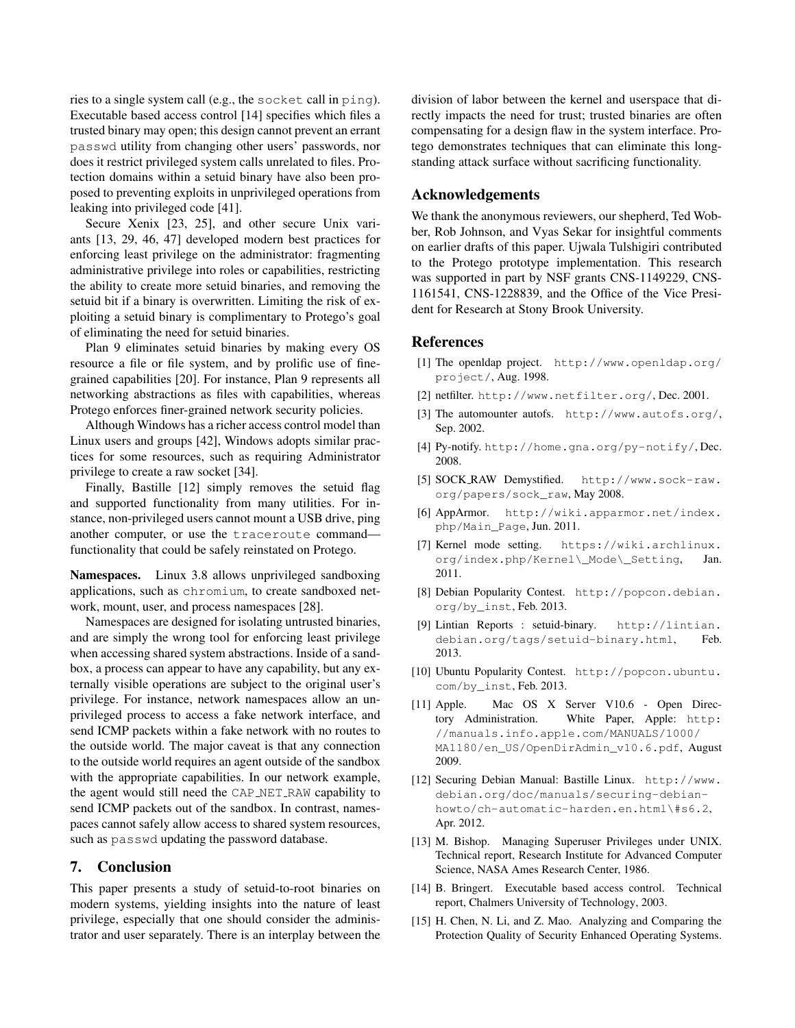ries to a single system call (e.g., the socket call in ping). Executable based access control [14] specifies which files a trusted binary may open; this design cannot prevent an errant passwd utility from changing other users' passwords, nor does it restrict privileged system calls unrelated to files. Protection domains within a setuid binary have also been proposed to preventing exploits in unprivileged operations from leaking into privileged code [41].

Secure Xenix [23, 25], and other secure Unix variants [13, 29, 46, 47] developed modern best practices for enforcing least privilege on the administrator: fragmenting administrative privilege into roles or capabilities, restricting the ability to create more setuid binaries, and removing the setuid bit if a binary is overwritten. Limiting the risk of exploiting a setuid binary is complimentary to Protego's goal of eliminating the need for setuid binaries.

Plan 9 eliminates setuid binaries by making every OS resource a file or file system, and by prolific use of finegrained capabilities [20]. For instance, Plan 9 represents all networking abstractions as files with capabilities, whereas Protego enforces finer-grained network security policies.

Although Windows has a richer access control model than Linux users and groups [42], Windows adopts similar practices for some resources, such as requiring Administrator privilege to create a raw socket [34].

Finally, Bastille [12] simply removes the setuid flag and supported functionality from many utilities. For instance, non-privileged users cannot mount a USB drive, ping another computer, or use the traceroute command functionality that could be safely reinstated on Protego.

Namespaces. Linux 3.8 allows unprivileged sandboxing applications, such as chromium, to create sandboxed network, mount, user, and process namespaces [28].

Namespaces are designed for isolating untrusted binaries, and are simply the wrong tool for enforcing least privilege when accessing shared system abstractions. Inside of a sandbox, a process can appear to have any capability, but any externally visible operations are subject to the original user's privilege. For instance, network namespaces allow an unprivileged process to access a fake network interface, and send ICMP packets within a fake network with no routes to the outside world. The major caveat is that any connection to the outside world requires an agent outside of the sandbox with the appropriate capabilities. In our network example, the agent would still need the CAP NET RAW capability to send ICMP packets out of the sandbox. In contrast, namespaces cannot safely allow access to shared system resources, such as passwd updating the password database.

## 7. Conclusion

This paper presents a study of setuid-to-root binaries on modern systems, yielding insights into the nature of least privilege, especially that one should consider the administrator and user separately. There is an interplay between the

division of labor between the kernel and userspace that directly impacts the need for trust; trusted binaries are often compensating for a design flaw in the system interface. Protego demonstrates techniques that can eliminate this longstanding attack surface without sacrificing functionality.

#### Acknowledgements

We thank the anonymous reviewers, our shepherd, Ted Wobber, Rob Johnson, and Vyas Sekar for insightful comments on earlier drafts of this paper. Ujwala Tulshigiri contributed to the Protego prototype implementation. This research was supported in part by NSF grants CNS-1149229, CNS-1161541, CNS-1228839, and the Office of the Vice President for Research at Stony Brook University.

## References

- [1] The openldap project. http://www.openldap.org/ project/, Aug. 1998.
- [2] netfilter. http://www.netfilter.org/, Dec. 2001.
- [3] The automounter autofs. http://www.autofs.org/, Sep. 2002.
- [4] Py-notify. http://home.gna.org/py-notify/, Dec. 2008.
- [5] SOCK RAW Demystified. http://www.sock-raw. org/papers/sock\_raw, May 2008.
- [6] AppArmor. http://wiki.apparmor.net/index. php/Main\_Page, Jun. 2011.
- [7] Kernel mode setting. https://wiki.archlinux. org/index.php/Kernel\\_Mode\\_Setting, Jan. 2011.
- [8] Debian Popularity Contest. http://popcon.debian. org/by\_inst, Feb. 2013.
- [9] Lintian Reports : setuid-binary. http://lintian. debian.org/tags/setuid-binary.html, Feb. 2013.
- [10] Ubuntu Popularity Contest. http://popcon.ubuntu. com/by\_inst, Feb. 2013.
- [11] Apple. Mac OS X Server V10.6 Open Directory Administration. White Paper, Apple: http: //manuals.info.apple.com/MANUALS/1000/ MA1180/en\_US/OpenDirAdmin\_v10.6.pdf, August 2009.
- [12] Securing Debian Manual: Bastille Linux. http://www. debian.org/doc/manuals/securing-debianhowto/ch-automatic-harden.en.html\#s6.2, Apr. 2012.
- [13] M. Bishop. Managing Superuser Privileges under UNIX. Technical report, Research Institute for Advanced Computer Science, NASA Ames Research Center, 1986.
- [14] B. Bringert. Executable based access control. Technical report, Chalmers University of Technology, 2003.
- [15] H. Chen, N. Li, and Z. Mao. Analyzing and Comparing the Protection Quality of Security Enhanced Operating Systems.